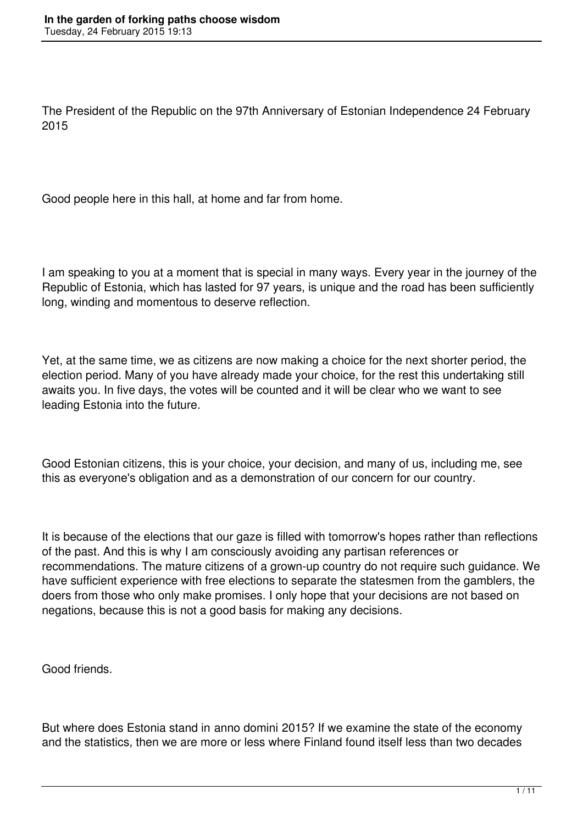The President of the Republic on the 97th Anniversary of Estonian Independence 24 February 2015

Good people here in this hall, at home and far from home.

I am speaking to you at a moment that is special in many ways. Every year in the journey of the Republic of Estonia, which has lasted for 97 years, is unique and the road has been sufficiently long, winding and momentous to deserve reflection.

Yet, at the same time, we as citizens are now making a choice for the next shorter period, the election period. Many of you have already made your choice, for the rest this undertaking still awaits you. In five days, the votes will be counted and it will be clear who we want to see leading Estonia into the future.

Good Estonian citizens, this is your choice, your decision, and many of us, including me, see this as everyone's obligation and as a demonstration of our concern for our country.

It is because of the elections that our gaze is filled with tomorrow's hopes rather than reflections of the past. And this is why I am consciously avoiding any partisan references or recommendations. The mature citizens of a grown-up country do not require such guidance. We have sufficient experience with free elections to separate the statesmen from the gamblers, the doers from those who only make promises. I only hope that your decisions are not based on negations, because this is not a good basis for making any decisions.

Good friends.

But where does Estonia stand in anno domini 2015? If we examine the state of the economy and the statistics, then we are more or less where Finland found itself less than two decades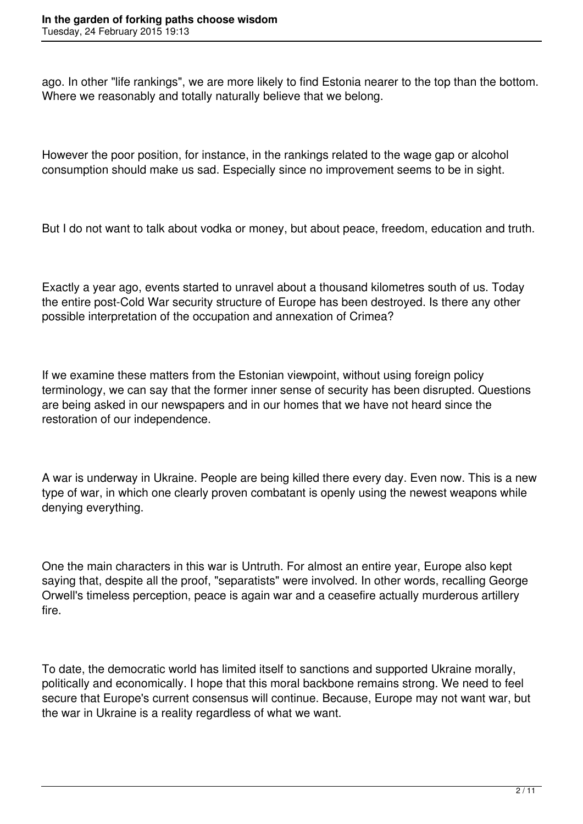ago. In other "life rankings", we are more likely to find Estonia nearer to the top than the bottom. Where we reasonably and totally naturally believe that we belong.

However the poor position, for instance, in the rankings related to the wage gap or alcohol consumption should make us sad. Especially since no improvement seems to be in sight.

But I do not want to talk about vodka or money, but about peace, freedom, education and truth.

Exactly a year ago, events started to unravel about a thousand kilometres south of us. Today the entire post-Cold War security structure of Europe has been destroyed. Is there any other possible interpretation of the occupation and annexation of Crimea?

If we examine these matters from the Estonian viewpoint, without using foreign policy terminology, we can say that the former inner sense of security has been disrupted. Questions are being asked in our newspapers and in our homes that we have not heard since the restoration of our independence.

A war is underway in Ukraine. People are being killed there every day. Even now. This is a new type of war, in which one clearly proven combatant is openly using the newest weapons while denying everything.

One the main characters in this war is Untruth. For almost an entire year, Europe also kept saying that, despite all the proof, "separatists" were involved. In other words, recalling George Orwell's timeless perception, peace is again war and a ceasefire actually murderous artillery fire.

To date, the democratic world has limited itself to sanctions and supported Ukraine morally, politically and economically. I hope that this moral backbone remains strong. We need to feel secure that Europe's current consensus will continue. Because, Europe may not want war, but the war in Ukraine is a reality regardless of what we want.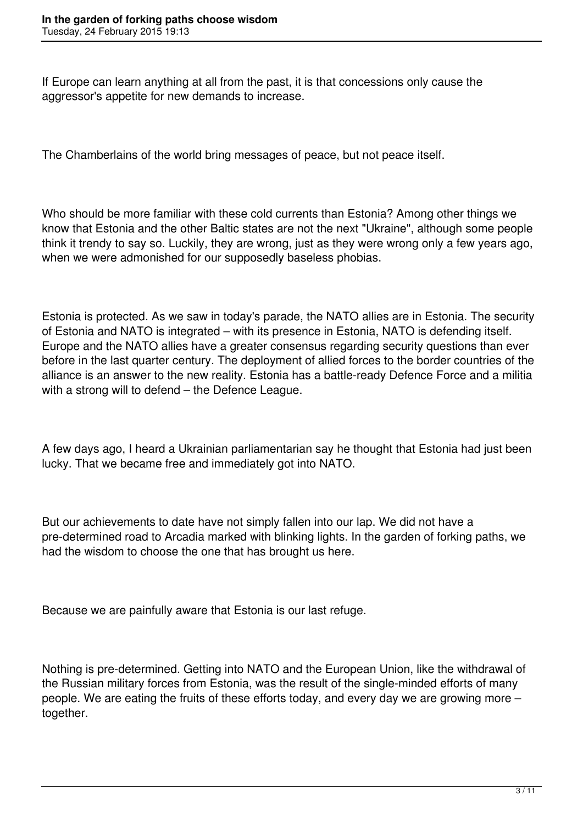If Europe can learn anything at all from the past, it is that concessions only cause the aggressor's appetite for new demands to increase.

The Chamberlains of the world bring messages of peace, but not peace itself.

Who should be more familiar with these cold currents than Estonia? Among other things we know that Estonia and the other Baltic states are not the next "Ukraine", although some people think it trendy to say so. Luckily, they are wrong, just as they were wrong only a few years ago, when we were admonished for our supposedly baseless phobias.

Estonia is protected. As we saw in today's parade, the NATO allies are in Estonia. The security of Estonia and NATO is integrated – with its presence in Estonia, NATO is defending itself. Europe and the NATO allies have a greater consensus regarding security questions than ever before in the last quarter century. The deployment of allied forces to the border countries of the alliance is an answer to the new reality. Estonia has a battle-ready Defence Force and a militia with a strong will to defend – the Defence League.

A few days ago, I heard a Ukrainian parliamentarian say he thought that Estonia had just been lucky. That we became free and immediately got into NATO.

But our achievements to date have not simply fallen into our lap. We did not have a pre-determined road to Arcadia marked with blinking lights. In the garden of forking paths, we had the wisdom to choose the one that has brought us here.

Because we are painfully aware that Estonia is our last refuge.

Nothing is pre-determined. Getting into NATO and the European Union, like the withdrawal of the Russian military forces from Estonia, was the result of the single-minded efforts of many people. We are eating the fruits of these efforts today, and every day we are growing more – together.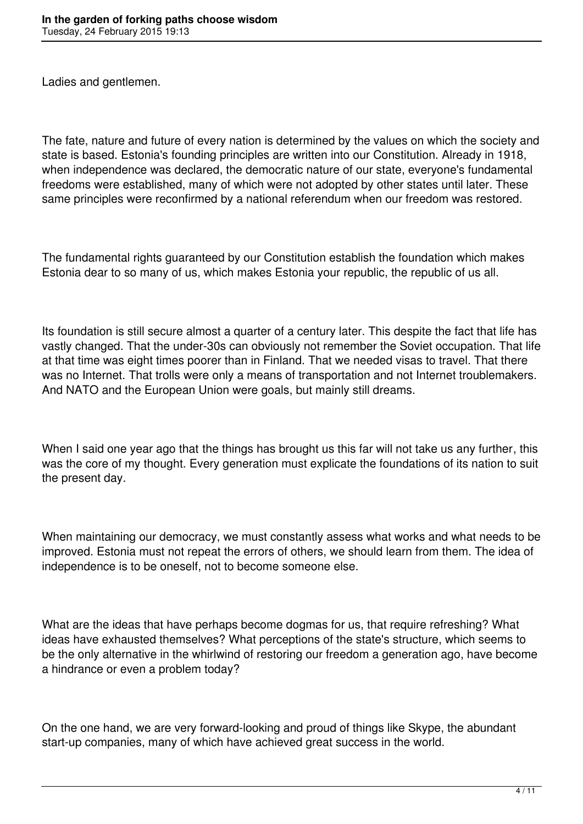Ladies and gentlemen.

The fate, nature and future of every nation is determined by the values on which the society and state is based. Estonia's founding principles are written into our Constitution. Already in 1918, when independence was declared, the democratic nature of our state, everyone's fundamental freedoms were established, many of which were not adopted by other states until later. These same principles were reconfirmed by a national referendum when our freedom was restored.

The fundamental rights guaranteed by our Constitution establish the foundation which makes Estonia dear to so many of us, which makes Estonia your republic, the republic of us all.

Its foundation is still secure almost a quarter of a century later. This despite the fact that life has vastly changed. That the under-30s can obviously not remember the Soviet occupation. That life at that time was eight times poorer than in Finland. That we needed visas to travel. That there was no Internet. That trolls were only a means of transportation and not Internet troublemakers. And NATO and the European Union were goals, but mainly still dreams.

When I said one year ago that the things has brought us this far will not take us any further, this was the core of my thought. Every generation must explicate the foundations of its nation to suit the present day.

When maintaining our democracy, we must constantly assess what works and what needs to be improved. Estonia must not repeat the errors of others, we should learn from them. The idea of independence is to be oneself, not to become someone else.

What are the ideas that have perhaps become dogmas for us, that require refreshing? What ideas have exhausted themselves? What perceptions of the state's structure, which seems to be the only alternative in the whirlwind of restoring our freedom a generation ago, have become a hindrance or even a problem today?

On the one hand, we are very forward-looking and proud of things like Skype, the abundant start-up companies, many of which have achieved great success in the world.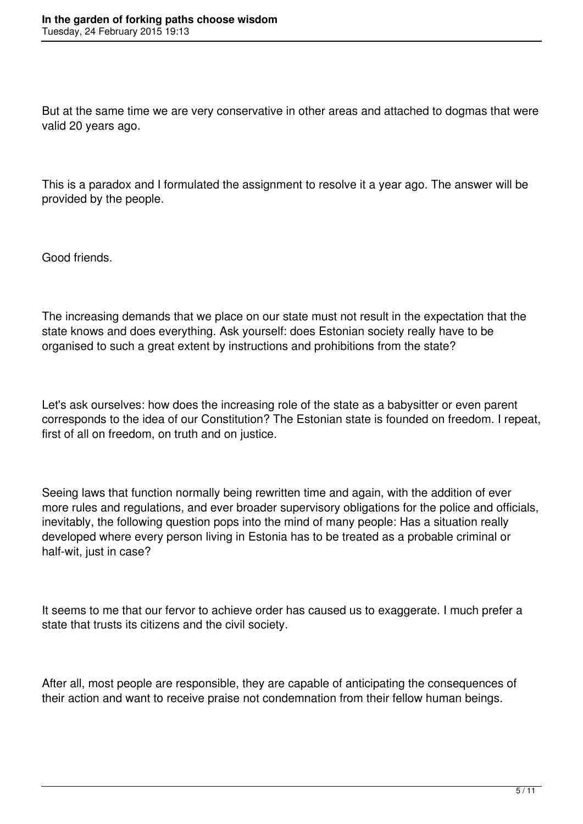But at the same time we are very conservative in other areas and attached to dogmas that were valid 20 years ago.

This is a paradox and I formulated the assignment to resolve it a year ago. The answer will be provided by the people.

Good friends.

The increasing demands that we place on our state must not result in the expectation that the state knows and does everything. Ask yourself: does Estonian society really have to be organised to such a great extent by instructions and prohibitions from the state?

Let's ask ourselves: how does the increasing role of the state as a babysitter or even parent corresponds to the idea of our Constitution? The Estonian state is founded on freedom. I repeat, first of all on freedom, on truth and on justice.

Seeing laws that function normally being rewritten time and again, with the addition of ever more rules and regulations, and ever broader supervisory obligations for the police and officials, inevitably, the following question pops into the mind of many people: Has a situation really developed where every person living in Estonia has to be treated as a probable criminal or half-wit, just in case?

It seems to me that our fervor to achieve order has caused us to exaggerate. I much prefer a state that trusts its citizens and the civil society.

After all, most people are responsible, they are capable of anticipating the consequences of their action and want to receive praise not condemnation from their fellow human beings.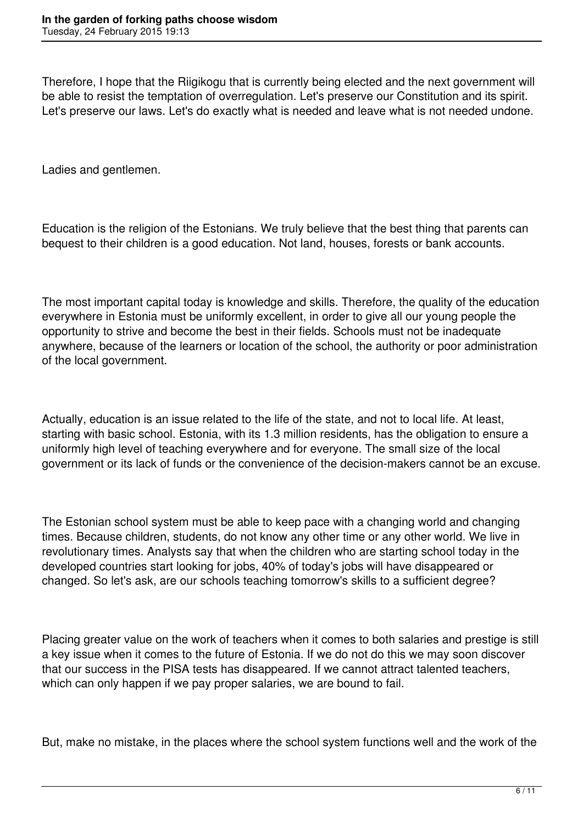Therefore, I hope that the Riigikogu that is currently being elected and the next government will be able to resist the temptation of overregulation. Let's preserve our Constitution and its spirit. Let's preserve our laws. Let's do exactly what is needed and leave what is not needed undone.

Ladies and gentlemen.

Education is the religion of the Estonians. We truly believe that the best thing that parents can bequest to their children is a good education. Not land, houses, forests or bank accounts.

The most important capital today is knowledge and skills. Therefore, the quality of the education everywhere in Estonia must be uniformly excellent, in order to give all our young people the opportunity to strive and become the best in their fields. Schools must not be inadequate anywhere, because of the learners or location of the school, the authority or poor administration of the local government.

Actually, education is an issue related to the life of the state, and not to local life. At least, starting with basic school. Estonia, with its 1.3 million residents, has the obligation to ensure a uniformly high level of teaching everywhere and for everyone. The small size of the local government or its lack of funds or the convenience of the decision-makers cannot be an excuse.

The Estonian school system must be able to keep pace with a changing world and changing times. Because children, students, do not know any other time or any other world. We live in revolutionary times. Analysts say that when the children who are starting school today in the developed countries start looking for jobs, 40% of today's jobs will have disappeared or changed. So let's ask, are our schools teaching tomorrow's skills to a sufficient degree?

Placing greater value on the work of teachers when it comes to both salaries and prestige is still a key issue when it comes to the future of Estonia. If we do not do this we may soon discover that our success in the PISA tests has disappeared. If we cannot attract talented teachers, which can only happen if we pay proper salaries, we are bound to fail.

But, make no mistake, in the places where the school system functions well and the work of the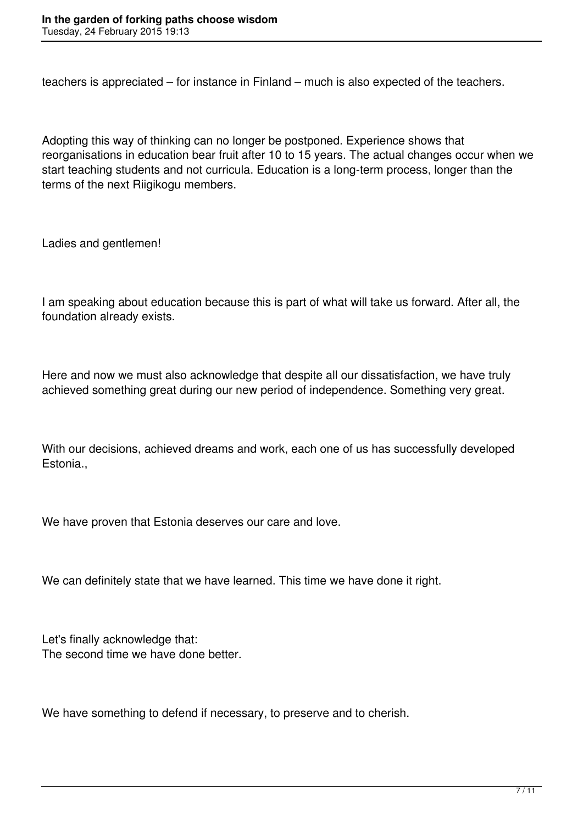teachers is appreciated – for instance in Finland – much is also expected of the teachers.

Adopting this way of thinking can no longer be postponed. Experience shows that reorganisations in education bear fruit after 10 to 15 years. The actual changes occur when we start teaching students and not curricula. Education is a long-term process, longer than the terms of the next Riigikogu members.

Ladies and gentlemen!

I am speaking about education because this is part of what will take us forward. After all, the foundation already exists.

Here and now we must also acknowledge that despite all our dissatisfaction, we have truly achieved something great during our new period of independence. Something very great.

With our decisions, achieved dreams and work, each one of us has successfully developed Estonia.,

We have proven that Estonia deserves our care and love.

We can definitely state that we have learned. This time we have done it right.

Let's finally acknowledge that: The second time we have done better.

We have something to defend if necessary, to preserve and to cherish.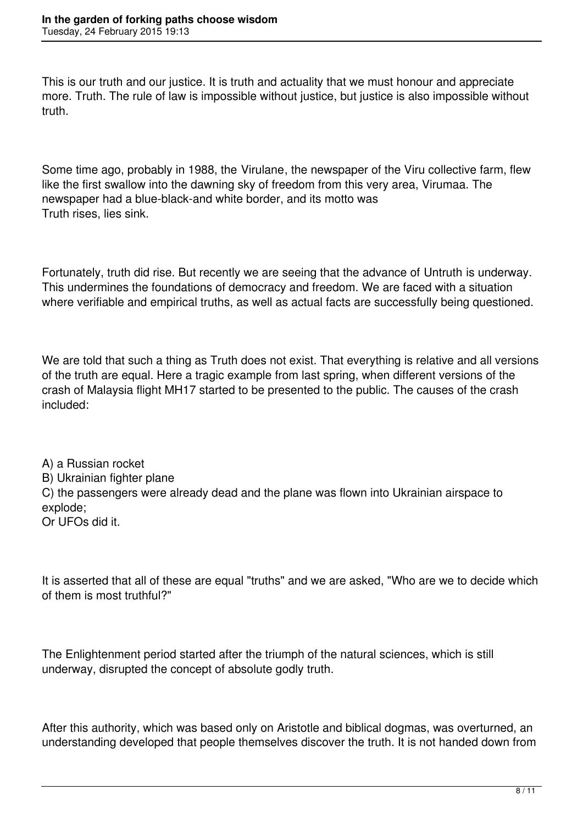This is our truth and our justice. It is truth and actuality that we must honour and appreciate more. Truth. The rule of law is impossible without justice, but justice is also impossible without truth.

Some time ago, probably in 1988, the Virulane, the newspaper of the Viru collective farm, flew like the first swallow into the dawning sky of freedom from this very area, Virumaa. The newspaper had a blue-black-and white border, and its motto was Truth rises, lies sink.

Fortunately, truth did rise. But recently we are seeing that the advance of Untruth is underway. This undermines the foundations of democracy and freedom. We are faced with a situation where verifiable and empirical truths, as well as actual facts are successfully being questioned.

We are told that such a thing as Truth does not exist. That everything is relative and all versions of the truth are equal. Here a tragic example from last spring, when different versions of the crash of Malaysia flight MH17 started to be presented to the public. The causes of the crash included:

A) a Russian rocket B) Ukrainian fighter plane C) the passengers were already dead and the plane was flown into Ukrainian airspace to explode; Or UFOs did it.

It is asserted that all of these are equal "truths" and we are asked, "Who are we to decide which of them is most truthful?"

The Enlightenment period started after the triumph of the natural sciences, which is still underway, disrupted the concept of absolute godly truth.

After this authority, which was based only on Aristotle and biblical dogmas, was overturned, an understanding developed that people themselves discover the truth. It is not handed down from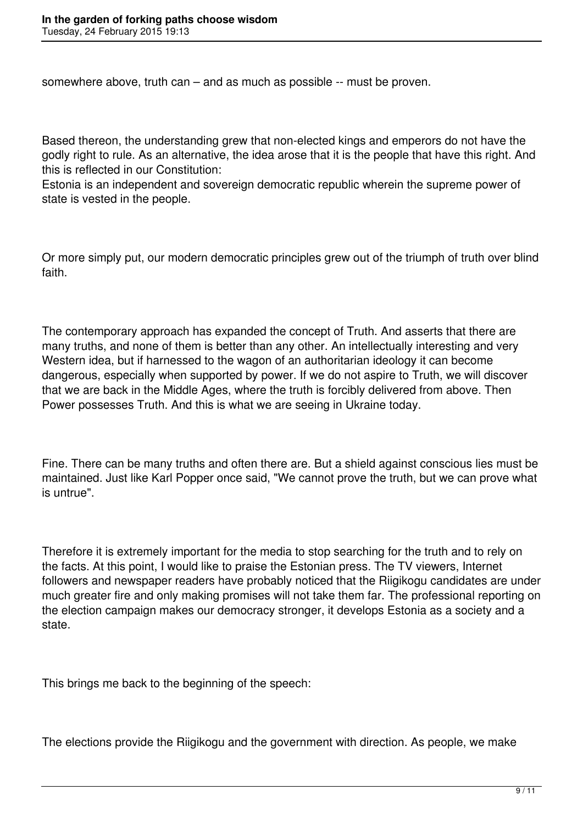somewhere above, truth can – and as much as possible -- must be proven.

Based thereon, the understanding grew that non-elected kings and emperors do not have the godly right to rule. As an alternative, the idea arose that it is the people that have this right. And this is reflected in our Constitution:

Estonia is an independent and sovereign democratic republic wherein the supreme power of state is vested in the people.

Or more simply put, our modern democratic principles grew out of the triumph of truth over blind faith.

The contemporary approach has expanded the concept of Truth. And asserts that there are many truths, and none of them is better than any other. An intellectually interesting and very Western idea, but if harnessed to the wagon of an authoritarian ideology it can become dangerous, especially when supported by power. If we do not aspire to Truth, we will discover that we are back in the Middle Ages, where the truth is forcibly delivered from above. Then Power possesses Truth. And this is what we are seeing in Ukraine today.

Fine. There can be many truths and often there are. But a shield against conscious lies must be maintained. Just like Karl Popper once said, "We cannot prove the truth, but we can prove what is untrue".

Therefore it is extremely important for the media to stop searching for the truth and to rely on the facts. At this point, I would like to praise the Estonian press. The TV viewers, Internet followers and newspaper readers have probably noticed that the Riigikogu candidates are under much greater fire and only making promises will not take them far. The professional reporting on the election campaign makes our democracy stronger, it develops Estonia as a society and a state.

This brings me back to the beginning of the speech:

The elections provide the Riigikogu and the government with direction. As people, we make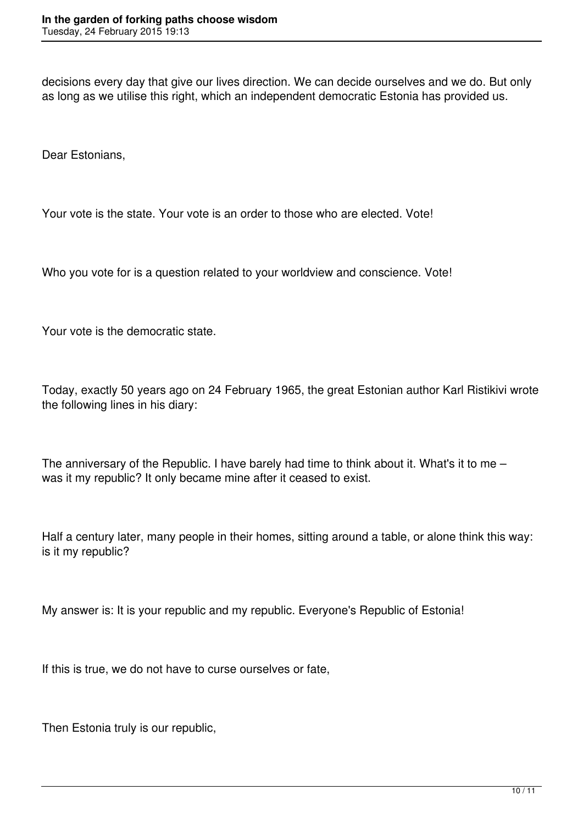decisions every day that give our lives direction. We can decide ourselves and we do. But only as long as we utilise this right, which an independent democratic Estonia has provided us.

Dear Estonians,

Your vote is the state. Your vote is an order to those who are elected. Vote!

Who you vote for is a question related to your worldview and conscience. Vote!

Your vote is the democratic state.

Today, exactly 50 years ago on 24 February 1965, the great Estonian author Karl Ristikivi wrote the following lines in his diary:

The anniversary of the Republic. I have barely had time to think about it. What's it to me – was it my republic? It only became mine after it ceased to exist.

Half a century later, many people in their homes, sitting around a table, or alone think this way: is it my republic?

My answer is: It is your republic and my republic. Everyone's Republic of Estonia!

If this is true, we do not have to curse ourselves or fate,

Then Estonia truly is our republic,